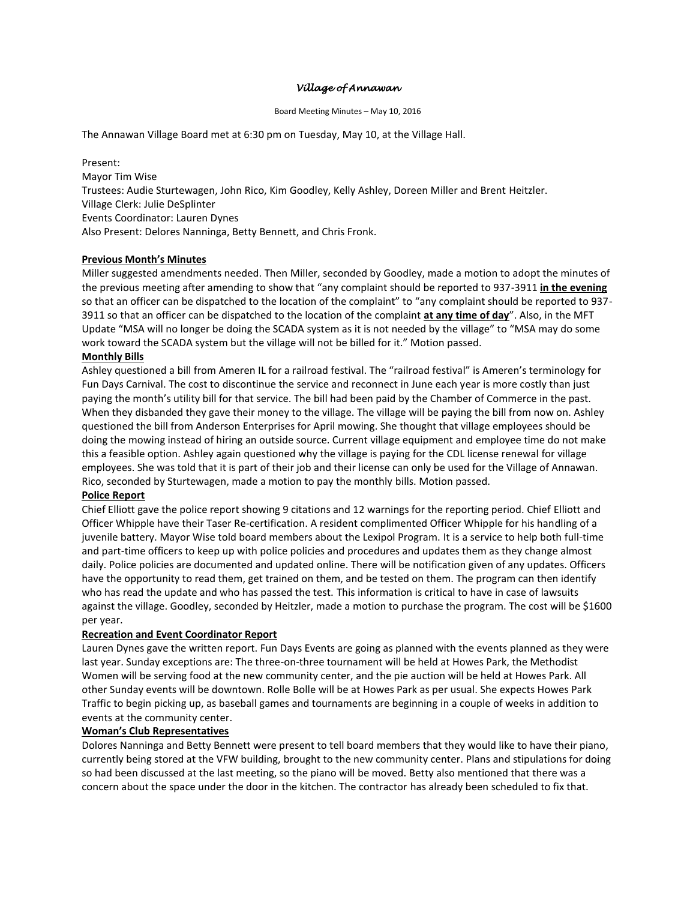### *Village of Annawan*

#### Board Meeting Minutes – May 10, 2016

The Annawan Village Board met at 6:30 pm on Tuesday, May 10, at the Village Hall.

Present: Mayor Tim Wise Trustees: Audie Sturtewagen, John Rico, Kim Goodley, Kelly Ashley, Doreen Miller and Brent Heitzler. Village Clerk: Julie DeSplinter Events Coordinator: Lauren Dynes Also Present: Delores Nanninga, Betty Bennett, and Chris Fronk.

# **Previous Month's Minutes**

Miller suggested amendments needed. Then Miller, seconded by Goodley, made a motion to adopt the minutes of the previous meeting after amending to show that "any complaint should be reported to 937-3911 **in the evening** so that an officer can be dispatched to the location of the complaint" to "any complaint should be reported to 937- 3911 so that an officer can be dispatched to the location of the complaint **at any time of day**". Also, in the MFT Update "MSA will no longer be doing the SCADA system as it is not needed by the village" to "MSA may do some work toward the SCADA system but the village will not be billed for it." Motion passed.

### **Monthly Bills**

Ashley questioned a bill from Ameren IL for a railroad festival. The "railroad festival" is Ameren's terminology for Fun Days Carnival. The cost to discontinue the service and reconnect in June each year is more costly than just paying the month's utility bill for that service. The bill had been paid by the Chamber of Commerce in the past. When they disbanded they gave their money to the village. The village will be paying the bill from now on. Ashley questioned the bill from Anderson Enterprises for April mowing. She thought that village employees should be doing the mowing instead of hiring an outside source. Current village equipment and employee time do not make this a feasible option. Ashley again questioned why the village is paying for the CDL license renewal for village employees. She was told that it is part of their job and their license can only be used for the Village of Annawan. Rico, seconded by Sturtewagen, made a motion to pay the monthly bills. Motion passed.

# **Police Report**

Chief Elliott gave the police report showing 9 citations and 12 warnings for the reporting period. Chief Elliott and Officer Whipple have their Taser Re-certification. A resident complimented Officer Whipple for his handling of a juvenile battery. Mayor Wise told board members about the Lexipol Program. It is a service to help both full-time and part-time officers to keep up with police policies and procedures and updates them as they change almost daily. Police policies are documented and updated online. There will be notification given of any updates. Officers have the opportunity to read them, get trained on them, and be tested on them. The program can then identify who has read the update and who has passed the test. This information is critical to have in case of lawsuits against the village. Goodley, seconded by Heitzler, made a motion to purchase the program. The cost will be \$1600 per year.

#### **Recreation and Event Coordinator Report**

Lauren Dynes gave the written report. Fun Days Events are going as planned with the events planned as they were last year. Sunday exceptions are: The three-on-three tournament will be held at Howes Park, the Methodist Women will be serving food at the new community center, and the pie auction will be held at Howes Park. All other Sunday events will be downtown. Rolle Bolle will be at Howes Park as per usual. She expects Howes Park Traffic to begin picking up, as baseball games and tournaments are beginning in a couple of weeks in addition to events at the community center.

#### **Woman's Club Representatives**

Dolores Nanninga and Betty Bennett were present to tell board members that they would like to have their piano, currently being stored at the VFW building, brought to the new community center. Plans and stipulations for doing so had been discussed at the last meeting, so the piano will be moved. Betty also mentioned that there was a concern about the space under the door in the kitchen. The contractor has already been scheduled to fix that.